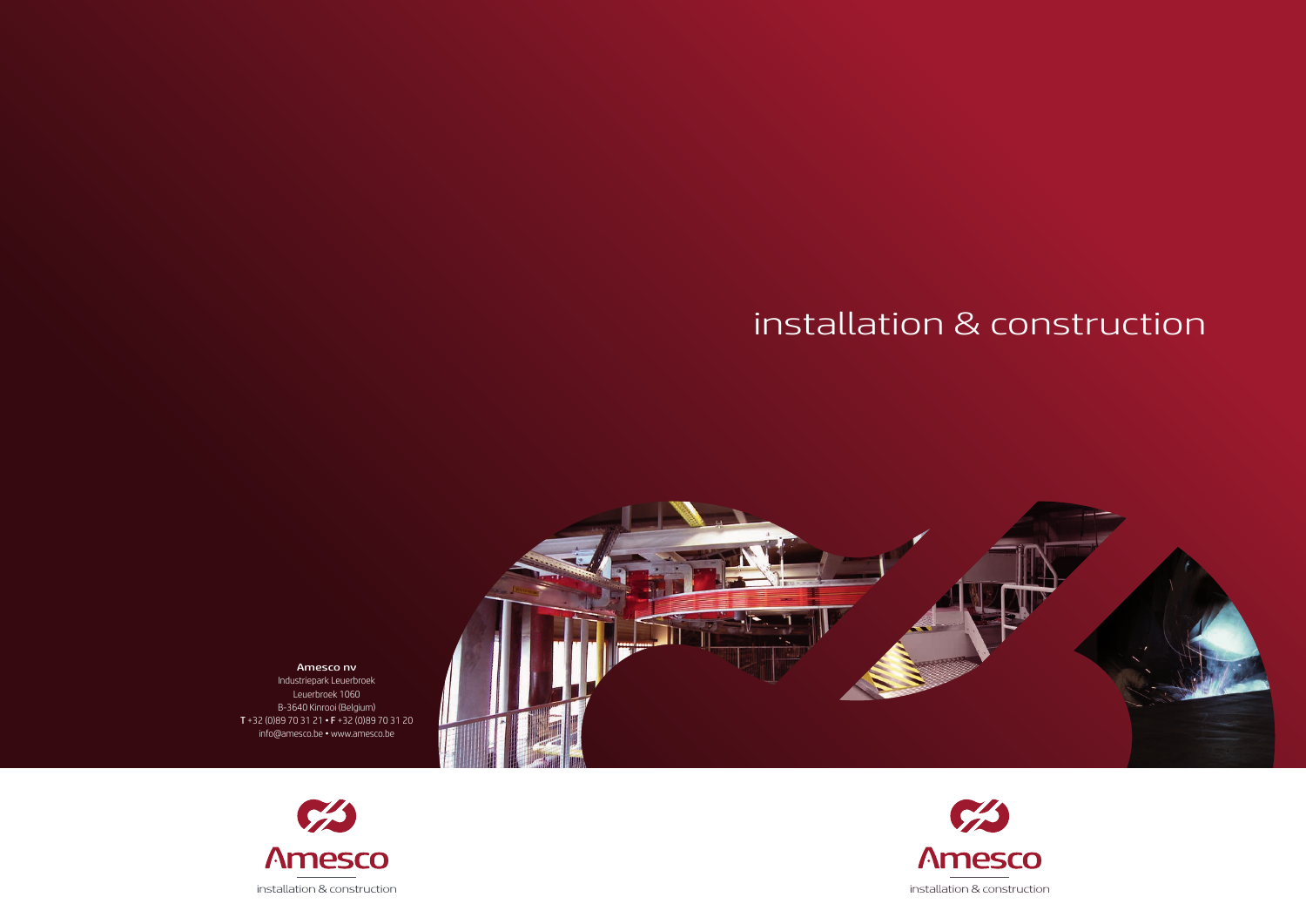Amesco nv Industriepark Leuerbroek Leuerbroek 1060 B-3640 Kinrooi (Belgium) T +32 (0)89 70 31 21 • F +32 (0)89 70 31 20 info@amesco.be • www.amesco.be





## installation & construction



 $\mathcal{C}^{\prime}$ **Amesco** installation & construction